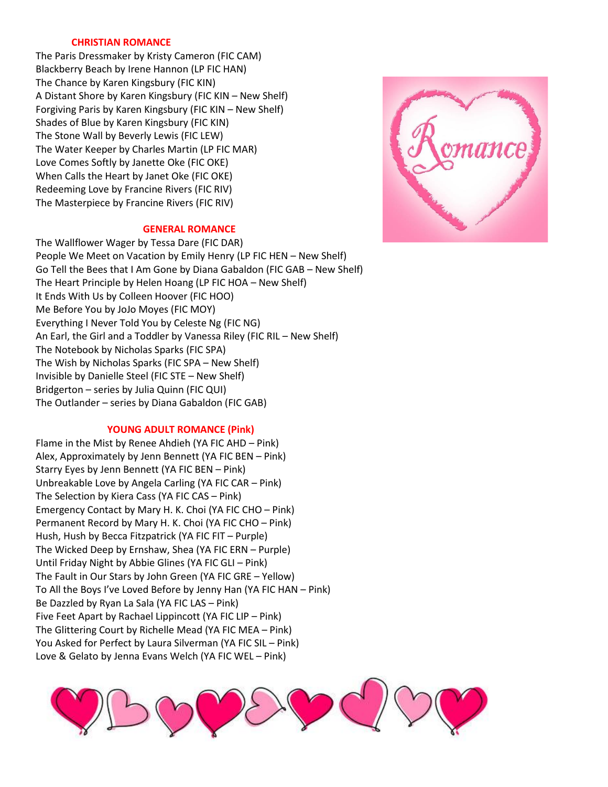## **CHRISTIAN ROMANCE**

The Paris Dressmaker by Kristy Cameron (FIC CAM) Blackberry Beach by Irene Hannon (LP FIC HAN) The Chance by Karen Kingsbury (FIC KIN) A Distant Shore by Karen Kingsbury (FIC KIN – New Shelf) Forgiving Paris by Karen Kingsbury (FIC KIN – New Shelf) Shades of Blue by Karen Kingsbury (FIC KIN) The Stone Wall by Beverly Lewis (FIC LEW) The Water Keeper by Charles Martin (LP FIC MAR) Love Comes Softly by Janette Oke (FIC OKE) When Calls the Heart by Janet Oke (FIC OKE) Redeeming Love by Francine Rivers (FIC RIV) The Masterpiece by Francine Rivers (FIC RIV)

# **GENERAL ROMANCE**

The Wallflower Wager by Tessa Dare (FIC DAR) People We Meet on Vacation by Emily Henry (LP FIC HEN – New Shelf) Go Tell the Bees that I Am Gone by Diana Gabaldon (FIC GAB – New Shelf) The Heart Principle by Helen Hoang (LP FIC HOA – New Shelf) It Ends With Us by Colleen Hoover (FIC HOO) Me Before You by JoJo Moyes (FIC MOY) Everything I Never Told You by Celeste Ng (FIC NG) An Earl, the Girl and a Toddler by Vanessa Riley (FIC RIL – New Shelf) The Notebook by Nicholas Sparks (FIC SPA) The Wish by Nicholas Sparks (FIC SPA – New Shelf) Invisible by Danielle Steel (FIC STE – New Shelf) Bridgerton – series by Julia Quinn (FIC QUI) The Outlander – series by Diana Gabaldon (FIC GAB)

# **YOUNG ADULT ROMANCE (Pink)**

Flame in the Mist by Renee Ahdieh (YA FIC AHD – Pink) Alex, Approximately by Jenn Bennett (YA FIC BEN – Pink) Starry Eyes by Jenn Bennett (YA FIC BEN – Pink) Unbreakable Love by Angela Carling (YA FIC CAR – Pink) The Selection by Kiera Cass (YA FIC CAS – Pink) Emergency Contact by Mary H. K. Choi (YA FIC CHO – Pink) Permanent Record by Mary H. K. Choi (YA FIC CHO – Pink) Hush, Hush by Becca Fitzpatrick (YA FIC FIT – Purple) The Wicked Deep by Ernshaw, Shea (YA FIC ERN – Purple) Until Friday Night by Abbie Glines (YA FIC GLI – Pink) The Fault in Our Stars by John Green (YA FIC GRE – Yellow) To All the Boys I've Loved Before by Jenny Han (YA FIC HAN – Pink) Be Dazzled by Ryan La Sala (YA FIC LAS – Pink) Five Feet Apart by Rachael Lippincott (YA FIC LIP – Pink) The Glittering Court by Richelle Mead (YA FIC MEA – Pink) You Asked for Perfect by Laura Silverman (YA FIC SIL – Pink) Love & Gelato by Jenna Evans Welch (YA FIC WEL – Pink)